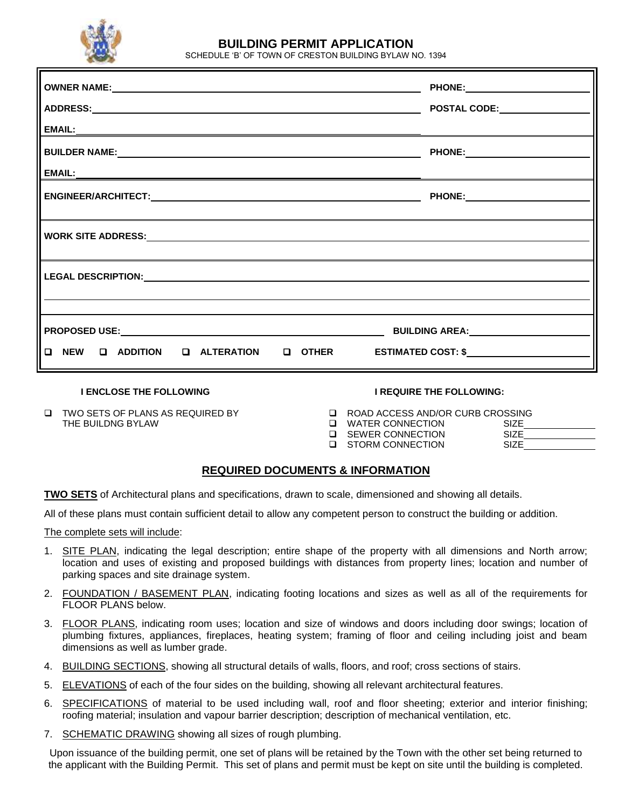

# **BUILDING PERMIT APPLICATION**

SCHEDULE 'B' OF TOWN OF CRESTON BUILDING BYLAW NO. 1394

| OWNER NAME: NAME: NAME AND A SERVICE OF THE CONTRACT OF THE CONTRACT OF THE CONTRACT OF THE CONTRACT OF THE CONTRACT OF THE CONTRACT OF THE CONTRACT OF THE CONTRACT OF THE CONTRACT OF THE CONTRACT OF THE CONTRACT OF THE CO |  |  |  |  |
|--------------------------------------------------------------------------------------------------------------------------------------------------------------------------------------------------------------------------------|--|--|--|--|
|                                                                                                                                                                                                                                |  |  |  |  |
|                                                                                                                                                                                                                                |  |  |  |  |
|                                                                                                                                                                                                                                |  |  |  |  |
|                                                                                                                                                                                                                                |  |  |  |  |
|                                                                                                                                                                                                                                |  |  |  |  |
|                                                                                                                                                                                                                                |  |  |  |  |
|                                                                                                                                                                                                                                |  |  |  |  |
|                                                                                                                                                                                                                                |  |  |  |  |
| □ NEW  □ ADDITION   □ ALTERATION   □ OTHER    ESTIMATED COST: \$_________________                                                                                                                                              |  |  |  |  |

**I ENCLOSE THE FOLLOWING I REQUIRE THE FOLLOWING:**

- TWO SETS OF PLANS AS REQUIRED BY ROAD ACCESS AND/OR CURB CROSSING THE BUILDNG BYLAW SERVER CONNECTION SIZE OF STATE SIZE OF STATE SIZE OF STATE OF STATE OF STATE OF STATE OF ST
	-

| □ WATER CONNECTION | <b>SIZE</b> |  |
|--------------------|-------------|--|
| □ SEWER CONNECTION | <b>SIZE</b> |  |
| □ STORM CONNECTION | SIZE.       |  |

## **REQUIRED DOCUMENTS & INFORMATION**

**TWO SETS** of Architectural plans and specifications, drawn to scale, dimensioned and showing all details.

All of these plans must contain sufficient detail to allow any competent person to construct the building or addition.

The complete sets will include:

- 1. SITE PLAN, indicating the legal description; entire shape of the property with all dimensions and North arrow; location and uses of existing and proposed buildings with distances from property lines; location and number of parking spaces and site drainage system.
- 2. FOUNDATION / BASEMENT PLAN, indicating footing locations and sizes as well as all of the requirements for FLOOR PLANS below.
- 3. FLOOR PLANS, indicating room uses; location and size of windows and doors including door swings; location of plumbing fixtures, appliances, fireplaces, heating system; framing of floor and ceiling including joist and beam dimensions as well as lumber grade.
- 4. BUILDING SECTIONS, showing all structural details of walls, floors, and roof; cross sections of stairs.
- 5. ELEVATIONS of each of the four sides on the building, showing all relevant architectural features.
- 6. SPECIFICATIONS of material to be used including wall, roof and floor sheeting; exterior and interior finishing; roofing material; insulation and vapour barrier description; description of mechanical ventilation, etc.
- 7. SCHEMATIC DRAWING showing all sizes of rough plumbing.

Upon issuance of the building permit, one set of plans will be retained by the Town with the other set being returned to the applicant with the Building Permit. This set of plans and permit must be kept on site until the building is completed.